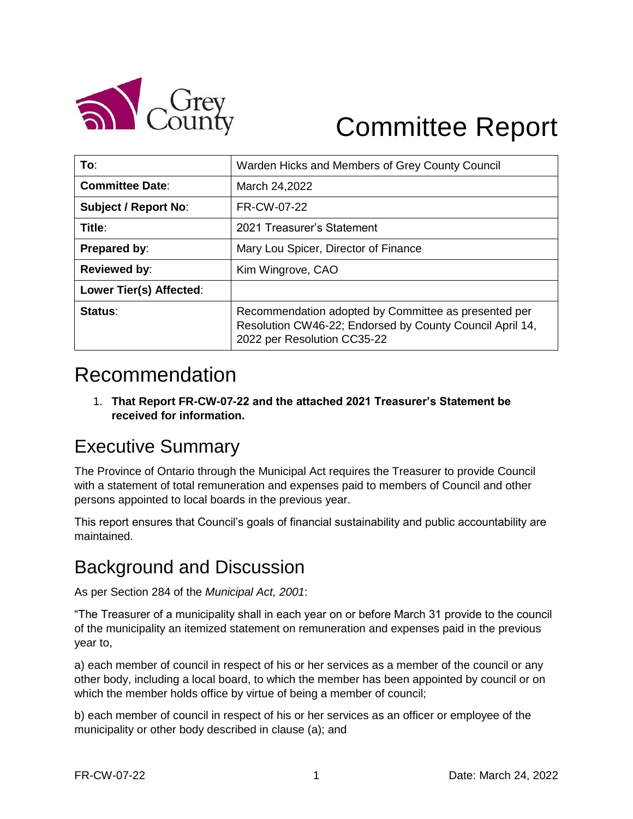

# Committee Report

| To:                         | Warden Hicks and Members of Grey County Council                                                                                                 |
|-----------------------------|-------------------------------------------------------------------------------------------------------------------------------------------------|
| <b>Committee Date:</b>      | March 24,2022                                                                                                                                   |
| <b>Subject / Report No:</b> | FR-CW-07-22                                                                                                                                     |
| Title:                      | 2021 Treasurer's Statement                                                                                                                      |
| Prepared by:                | Mary Lou Spicer, Director of Finance                                                                                                            |
| <b>Reviewed by:</b>         | Kim Wingrove, CAO                                                                                                                               |
| Lower Tier(s) Affected:     |                                                                                                                                                 |
| Status:                     | Recommendation adopted by Committee as presented per<br>Resolution CW46-22; Endorsed by County Council April 14,<br>2022 per Resolution CC35-22 |

# Recommendation

1. **That Report FR-CW-07-22 and the attached 2021 Treasurer's Statement be received for information.**

## Executive Summary

The Province of Ontario through the Municipal Act requires the Treasurer to provide Council with a statement of total remuneration and expenses paid to members of Council and other persons appointed to local boards in the previous year.

This report ensures that Council's goals of financial sustainability and public accountability are maintained.

### Background and Discussion

As per Section 284 of the *Municipal Act, 2001*:

"The Treasurer of a municipality shall in each year on or before March 31 provide to the council of the municipality an itemized statement on remuneration and expenses paid in the previous year to,

a) each member of council in respect of his or her services as a member of the council or any other body, including a local board, to which the member has been appointed by council or on which the member holds office by virtue of being a member of council;

b) each member of council in respect of his or her services as an officer or employee of the municipality or other body described in clause (a); and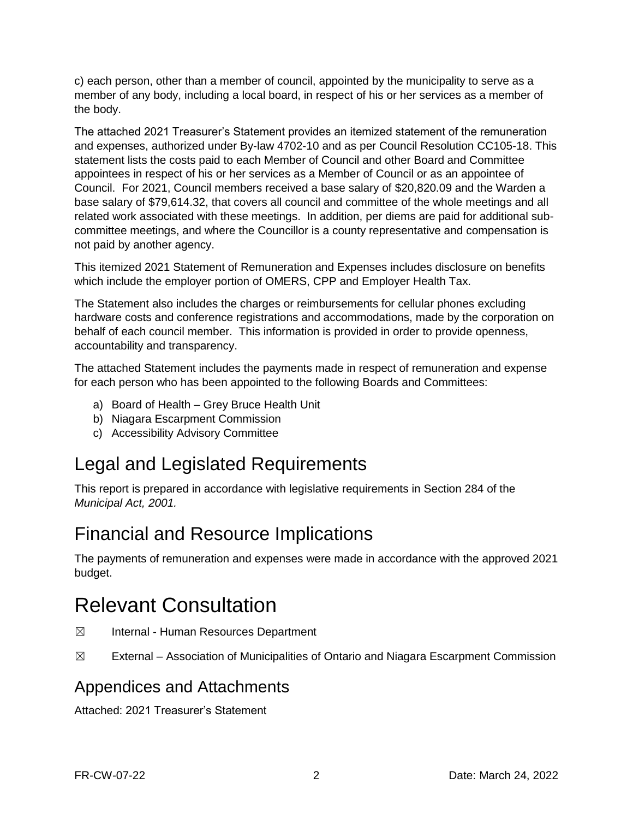c) each person, other than a member of council, appointed by the municipality to serve as a member of any body, including a local board, in respect of his or her services as a member of the body.

The attached 2021 Treasurer's Statement provides an itemized statement of the remuneration and expenses, authorized under By-law 4702-10 and as per Council Resolution CC105-18. This statement lists the costs paid to each Member of Council and other Board and Committee appointees in respect of his or her services as a Member of Council or as an appointee of Council. For 2021, Council members received a base salary of \$20,820.09 and the Warden a base salary of \$79,614.32, that covers all council and committee of the whole meetings and all related work associated with these meetings. In addition, per diems are paid for additional subcommittee meetings, and where the Councillor is a county representative and compensation is not paid by another agency.

This itemized 2021 Statement of Remuneration and Expenses includes disclosure on benefits which include the employer portion of OMERS, CPP and Employer Health Tax.

The Statement also includes the charges or reimbursements for cellular phones excluding hardware costs and conference registrations and accommodations, made by the corporation on behalf of each council member. This information is provided in order to provide openness, accountability and transparency.

The attached Statement includes the payments made in respect of remuneration and expense for each person who has been appointed to the following Boards and Committees:

- a) Board of Health Grey Bruce Health Unit
- b) Niagara Escarpment Commission
- c) Accessibility Advisory Committee

### Legal and Legislated Requirements

This report is prepared in accordance with legislative requirements in Section 284 of the *Municipal Act, 2001.*

### Financial and Resource Implications

The payments of remuneration and expenses were made in accordance with the approved 2021 budget.

# Relevant Consultation

- ☒ Internal Human Resources Department
- $\boxtimes$  External Association of Municipalities of Ontario and Niagara Escarpment Commission

#### Appendices and Attachments

Attached: 2021 Treasurer's Statement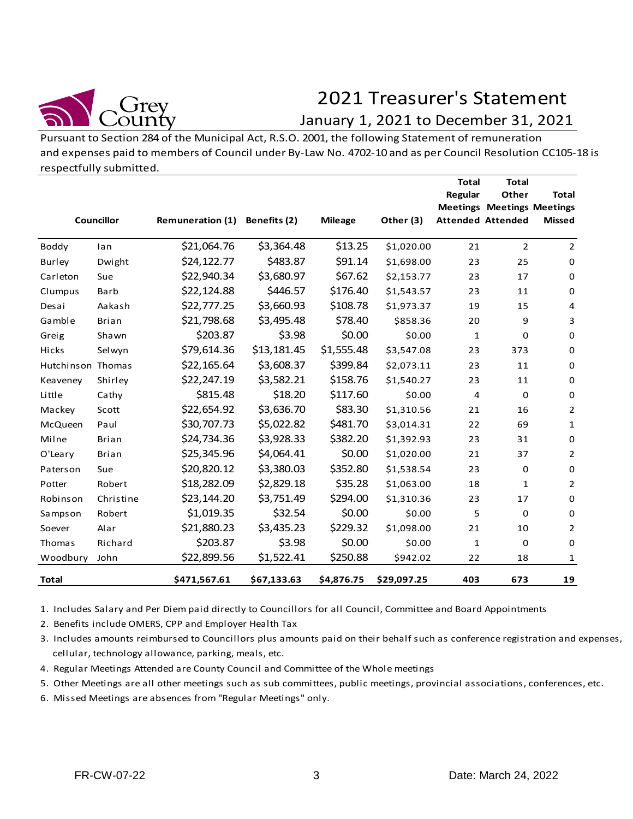

# 2021 Treasurer's Statement

#### January 1, 2021 to December 31, 2021

|                   | Councillor   | Remuneration (1) | Benefits (2) | <b>Mileage</b> | Other (3)   | <b>Total</b><br>Regular | <b>Total</b><br>Other<br><b>Meetings Meetings Meetings</b><br><b>Attended Attended</b> | <b>Total</b><br><b>Missed</b> |
|-------------------|--------------|------------------|--------------|----------------|-------------|-------------------------|----------------------------------------------------------------------------------------|-------------------------------|
| Boddy             | lan          | \$21,064.76      | \$3,364.48   | \$13.25        | \$1,020.00  | 21                      | $\overline{2}$                                                                         | $\overline{2}$                |
| Burley            | Dwight       | \$24,122.77      | \$483.87     | \$91.14        | \$1,698.00  | 23                      | 25                                                                                     | $\mathbf 0$                   |
| Carleton          | Sue          | \$22,940.34      | \$3,680.97   | \$67.62        | \$2,153.77  | 23                      | 17                                                                                     | 0                             |
| Clumpus           | Barb         | \$22,124.88      | \$446.57     | \$176.40       | \$1,543.57  | 23                      | 11                                                                                     | $\mathbf 0$                   |
| Desai             | Aakash       | \$22,777.25      | \$3,660.93   | \$108.78       | \$1,973.37  | 19                      | 15                                                                                     | 4                             |
| Gamble            | <b>Brian</b> | \$21,798.68      | \$3,495.48   | \$78.40        | \$858.36    | 20                      | 9                                                                                      | 3                             |
| Greig             | Shawn        | \$203.87         | \$3.98       | \$0.00         | \$0.00      | 1                       | 0                                                                                      | 0                             |
| Hicks             | Selwyn       | \$79,614.36      | \$13,181.45  | \$1,555.48     | \$3,547.08  | 23                      | 373                                                                                    | $\mathbf 0$                   |
| Hutchinson Thomas |              | \$22,165.64      | \$3,608.37   | \$399.84       | \$2,073.11  | 23                      | 11                                                                                     | $\mathbf 0$                   |
| Keaveney          | Shirley      | \$22,247.19      | \$3,582.21   | \$158.76       | \$1,540.27  | 23                      | 11                                                                                     | 0                             |
| Little            | Cathy        | \$815.48         | \$18.20      | \$117.60       | \$0.00      | 4                       | 0                                                                                      | 0                             |
| Mackey            | Scott        | \$22,654.92      | \$3,636.70   | \$83.30        | \$1,310.56  | 21                      | 16                                                                                     | $\overline{2}$                |
| McQueen           | Paul         | \$30,707.73      | \$5,022.82   | \$481.70       | \$3,014.31  | 22                      | 69                                                                                     | $\mathbf{1}$                  |
| Milne             | Brian        | \$24,734.36      | \$3,928.33   | \$382.20       | \$1,392.93  | 23                      | 31                                                                                     | 0                             |
| O'Leary           | Brian        | \$25,345.96      | \$4,064.41   | \$0.00         | \$1,020.00  | 21                      | 37                                                                                     | $\overline{2}$                |
| Paterson          | Sue          | \$20,820.12      | \$3,380.03   | \$352.80       | \$1,538.54  | 23                      | $\mathsf 0$                                                                            | $\mathbf 0$                   |
| Potter            | Robert       | \$18,282.09      | \$2,829.18   | \$35.28        | \$1,063.00  | 18                      | $\mathbf{1}$                                                                           | $\overline{2}$                |
| Robinson          | Christine    | \$23,144.20      | \$3,751.49   | \$294.00       | \$1,310.36  | 23                      | 17                                                                                     | $\mathsf 0$                   |
| Sampson           | Robert       | \$1,019.35       | \$32.54      | \$0.00         | \$0.00      | 5                       | 0                                                                                      | $\mathbf 0$                   |
| Soever            | Alar         | \$21,880.23      | \$3,435.23   | \$229.32       | \$1,098.00  | 21                      | 10                                                                                     | $\overline{2}$                |
| Thomas            | Richard      | \$203.87         | \$3.98       | \$0.00         | \$0.00      | $\mathbf{1}$            | 0                                                                                      | 0                             |
| Woodbury          | John         | \$22,899.56      | \$1,522.41   | \$250.88       | \$942.02    | 22                      | 18                                                                                     | 1                             |
| <b>Total</b>      |              | \$471,567.61     | \$67,133.63  | \$4,876.75     | \$29,097.25 | 403                     | 673                                                                                    | 19                            |

2. Benefits include OMERS, CPP and Employer Health Tax

3. Includes amounts reimbursed to Councillors plus amounts paid on their behalf such as conference registration and expenses, cellular, technology allowance, parking, meals, etc.

- 4. Regular Meetings Attended are County Council and Committee of the Whole meetings
- 5. Other Meetings are all other meetings such as sub committees, public meetings, provincial associations, conferences, etc.
- 6. Missed Meetings are absences from "Regular Meetings" only.